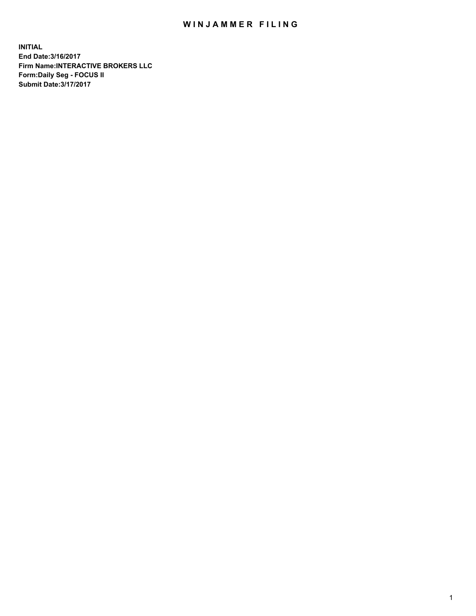## WIN JAMMER FILING

**INITIAL End Date:3/16/2017 Firm Name:INTERACTIVE BROKERS LLC Form:Daily Seg - FOCUS II Submit Date:3/17/2017**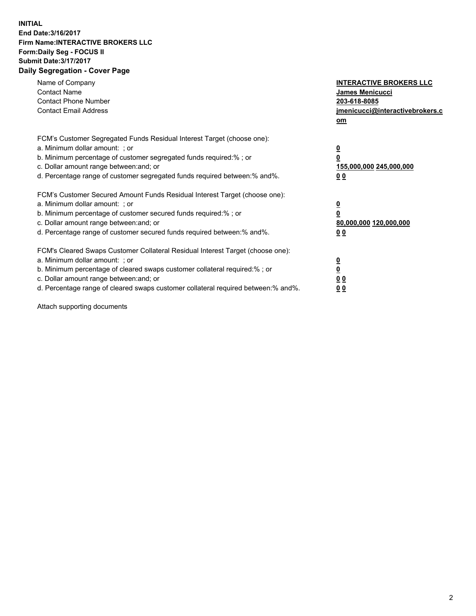## **INITIAL End Date:3/16/2017 Firm Name:INTERACTIVE BROKERS LLC Form:Daily Seg - FOCUS II Submit Date:3/17/2017 Daily Segregation - Cover Page**

| Name of Company<br><b>Contact Name</b><br><b>Contact Phone Number</b><br><b>Contact Email Address</b>                                                                                                                                                                                                                          | <b>INTERACTIVE BROKERS LLC</b><br>James Menicucci<br>203-618-8085<br>jmenicucci@interactivebrokers.c<br>om |
|--------------------------------------------------------------------------------------------------------------------------------------------------------------------------------------------------------------------------------------------------------------------------------------------------------------------------------|------------------------------------------------------------------------------------------------------------|
| FCM's Customer Segregated Funds Residual Interest Target (choose one):<br>a. Minimum dollar amount: ; or<br>b. Minimum percentage of customer segregated funds required:%; or<br>c. Dollar amount range between: and; or<br>d. Percentage range of customer segregated funds required between:% and%.                          | $\overline{\mathbf{0}}$<br>0<br>155,000,000 245,000,000<br>0 <sub>0</sub>                                  |
| FCM's Customer Secured Amount Funds Residual Interest Target (choose one):<br>a. Minimum dollar amount: ; or<br>b. Minimum percentage of customer secured funds required:%; or<br>c. Dollar amount range between: and; or<br>d. Percentage range of customer secured funds required between:% and%.                            | $\overline{\mathbf{0}}$<br>$\overline{\mathbf{0}}$<br>80,000,000 120,000,000<br>00                         |
| FCM's Cleared Swaps Customer Collateral Residual Interest Target (choose one):<br>a. Minimum dollar amount: ; or<br>b. Minimum percentage of cleared swaps customer collateral required:% ; or<br>c. Dollar amount range between: and; or<br>d. Percentage range of cleared swaps customer collateral required between:% and%. | $\overline{\mathbf{0}}$<br>$\overline{\mathbf{0}}$<br>0 <sub>0</sub><br><u>00</u>                          |

Attach supporting documents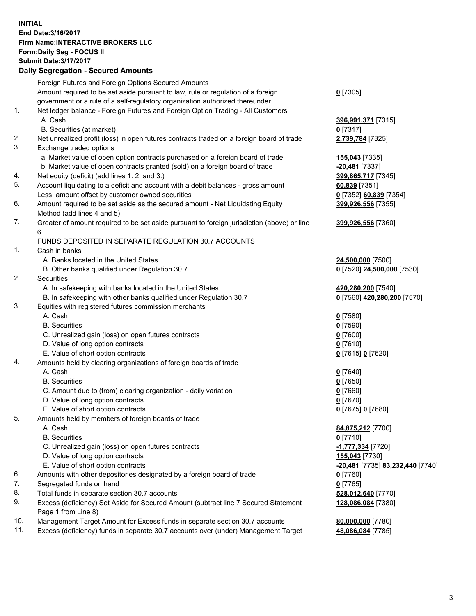## **INITIAL End Date:3/16/2017 Firm Name:INTERACTIVE BROKERS LLC Form:Daily Seg - FOCUS II Submit Date:3/17/2017**

## **Daily Segregation - Secured Amounts** Foreign Futures and Foreign Options Secured Amounts Amount required to be set aside pursuant to law, rule or regulation of a foreign government or a rule of a self-regulatory organization authorized thereunder **0** [7305] 1. Net ledger balance - Foreign Futures and Foreign Option Trading - All Customers A. Cash **396,991,371** [7315] B. Securities (at market) **0** [7317] 2. Net unrealized profit (loss) in open futures contracts traded on a foreign board of trade **2,739,784** [7325] 3. Exchange traded options a. Market value of open option contracts purchased on a foreign board of trade **155,043** [7335] b. Market value of open contracts granted (sold) on a foreign board of trade **-20,481** [7337] 4. Net equity (deficit) (add lines 1. 2. and 3.) **399,865,717** [7345] 5. Account liquidating to a deficit and account with a debit balances - gross amount **60,839** [7351] Less: amount offset by customer owned securities **0** [7352] **60,839** [7354] 6. Amount required to be set aside as the secured amount - Net Liquidating Equity Method (add lines 4 and 5) **399,926,556** [7355] 7. Greater of amount required to be set aside pursuant to foreign jurisdiction (above) or line 6. **399,926,556** [7360] FUNDS DEPOSITED IN SEPARATE REGULATION 30.7 ACCOUNTS 1. Cash in banks A. Banks located in the United States **24,500,000** [7500] B. Other banks qualified under Regulation 30.7 **0** [7520] **24,500,000** [7530] 2. Securities A. In safekeeping with banks located in the United States **420,280,200** [7540] B. In safekeeping with other banks qualified under Regulation 30.7 **0** [7560] **420,280,200** [7570] 3. Equities with registered futures commission merchants A. Cash **0** [7580] B. Securities **0** [7590] C. Unrealized gain (loss) on open futures contracts **0** [7600] D. Value of long option contracts **0** [7610] E. Value of short option contracts **0** [7615] **0** [7620] 4. Amounts held by clearing organizations of foreign boards of trade

- A. Cash **0** [7640] B. Securities **0** [7650] C. Amount due to (from) clearing organization - daily variation **0** [7660] D. Value of long option contracts **0** [7670] E. Value of short option contracts **0** [7675] **0** [7680] 5. Amounts held by members of foreign boards of trade A. Cash **84,875,212** [7700] B. Securities **0** [7710] C. Unrealized gain (loss) on open futures contracts **-1,777,334** [7720] D. Value of long option contracts **155,043** [7730] E. Value of short option contracts **-20,481** [7735] **83,232,440** [7740] 6. Amounts with other depositories designated by a foreign board of trade **0** [7760] 7. Segregated funds on hand **0** [7765] 8. Total funds in separate section 30.7 accounts **528,012,640** [7770] 9. Excess (deficiency) Set Aside for Secured Amount (subtract line 7 Secured Statement Page 1 from Line 8) **128,086,084** [7380] 10. Management Target Amount for Excess funds in separate section 30.7 accounts **80,000,000** [7780]
- 11. Excess (deficiency) funds in separate 30.7 accounts over (under) Management Target **48,086,084** [7785]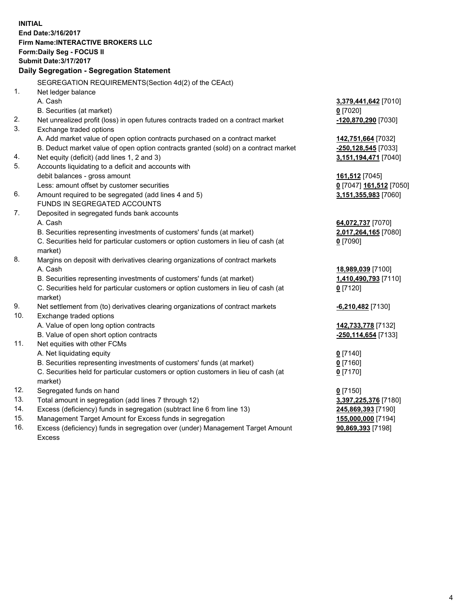**INITIAL End Date:3/16/2017 Firm Name:INTERACTIVE BROKERS LLC Form:Daily Seg - FOCUS II Submit Date:3/17/2017 Daily Segregation - Segregation Statement** SEGREGATION REQUIREMENTS(Section 4d(2) of the CEAct) 1. Net ledger balance A. Cash **3,379,441,642** [7010] B. Securities (at market) **0** [7020] 2. Net unrealized profit (loss) in open futures contracts traded on a contract market **-120,870,290** [7030] 3. Exchange traded options A. Add market value of open option contracts purchased on a contract market **142,751,664** [7032] B. Deduct market value of open option contracts granted (sold) on a contract market **-250,128,545** [7033] 4. Net equity (deficit) (add lines 1, 2 and 3) **3,151,194,471** [7040] 5. Accounts liquidating to a deficit and accounts with debit balances - gross amount **161,512** [7045] Less: amount offset by customer securities **0** [7047] **161,512** [7050] 6. Amount required to be segregated (add lines 4 and 5) **3,151,355,983** [7060] FUNDS IN SEGREGATED ACCOUNTS 7. Deposited in segregated funds bank accounts A. Cash **64,072,737** [7070] B. Securities representing investments of customers' funds (at market) **2,017,264,165** [7080] C. Securities held for particular customers or option customers in lieu of cash (at market) **0** [7090] 8. Margins on deposit with derivatives clearing organizations of contract markets A. Cash **18,989,039** [7100] B. Securities representing investments of customers' funds (at market) **1,410,490,793** [7110] C. Securities held for particular customers or option customers in lieu of cash (at market) **0** [7120] 9. Net settlement from (to) derivatives clearing organizations of contract markets **-6,210,482** [7130] 10. Exchange traded options A. Value of open long option contracts **142,733,778** [7132] B. Value of open short option contracts **-250,114,654** [7133] 11. Net equities with other FCMs A. Net liquidating equity **0** [7140] B. Securities representing investments of customers' funds (at market) **0** [7160] C. Securities held for particular customers or option customers in lieu of cash (at market) **0** [7170] 12. Segregated funds on hand **0** [7150] 13. Total amount in segregation (add lines 7 through 12) **3,397,225,376** [7180] 14. Excess (deficiency) funds in segregation (subtract line 6 from line 13) **245,869,393** [7190] 15. Management Target Amount for Excess funds in segregation **155,000,000** [7194]

16. Excess (deficiency) funds in segregation over (under) Management Target Amount Excess

**90,869,393** [7198]